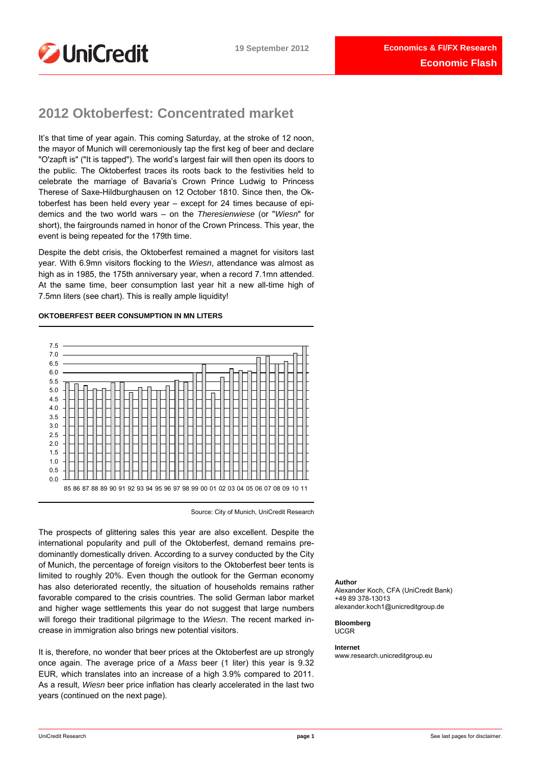

# **2012 Oktoberfest: Concentrated market**

It's that time of year again. This coming Saturday, at the stroke of 12 noon, the mayor of Munich will ceremoniously tap the first keg of beer and declare "O'zapft is" ("It is tapped"). The world's largest fair will then open its doors to the public. The Oktoberfest traces its roots back to the festivities held to celebrate the marriage of Bavaria's Crown Prince Ludwig to Princess Therese of Saxe-Hildburghausen on 12 October 1810. Since then, the Oktoberfest has been held every year – except for 24 times because of epidemics and the two world wars – on the *Theresienwiese* (or "*Wiesn*" for short), the fairgrounds named in honor of the Crown Princess. This year, the event is being repeated for the 179th time.

Despite the debt crisis, the Oktoberfest remained a magnet for visitors last year. With 6.9mn visitors flocking to the *Wiesn*, attendance was almost as high as in 1985, the 175th anniversary year, when a record 7.1mn attended. At the same time, beer consumption last year hit a new all-time high of 7.5mn liters (see chart). This is really ample liquidity!

# **OKTOBERFEST BEER CONSUMPTION IN MN LITERS**



Source: City of Munich, UniCredit Research

The prospects of glittering sales this year are also excellent. Despite the international popularity and pull of the Oktoberfest, demand remains predominantly domestically driven. According to a survey conducted by the City of Munich, the percentage of foreign visitors to the Oktoberfest beer tents is limited to roughly 20%. Even though the outlook for the German economy has also deteriorated recently, the situation of households remains rather favorable compared to the crisis countries. The solid German labor market and higher wage settlements this year do not suggest that large numbers will forego their traditional pilgrimage to the *Wiesn*. The recent marked increase in immigration also brings new potential visitors.

It is, therefore, no wonder that beer prices at the Oktoberfest are up strongly once again. The average price of a *Mass* beer (1 liter) this year is 9.32 EUR, which translates into an increase of a high 3.9% compared to 2011. As a result, *Wiesn* beer price inflation has clearly accelerated in the last two years (continued on the next page).

### **Author**

Alexander Koch, CFA (UniCredit Bank) +49 89 378-13013 alexander.koch1@unicreditgroup.de

**Bloomberg**  UCGR

**Internet** 

www.research.unicreditgroup.eu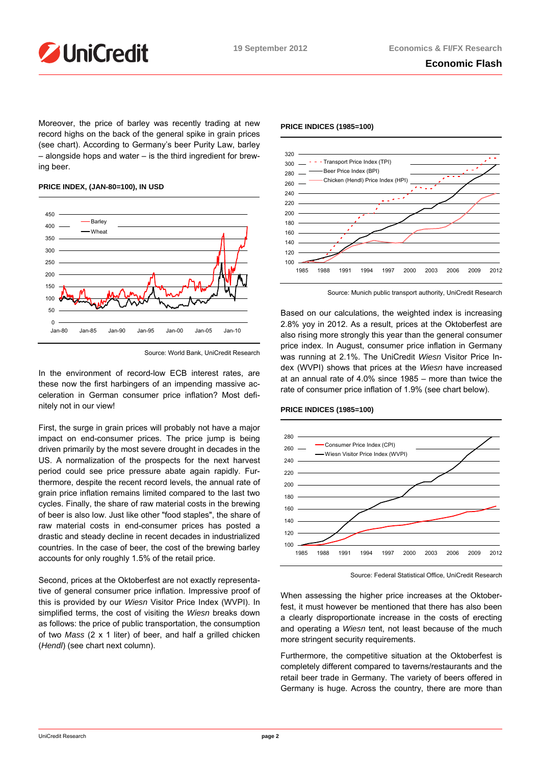

Moreover, the price of barley was recently trading at new record highs on the back of the general spike in grain prices (see chart). According to Germany's beer Purity Law, barley – alongside hops and water – is the third ingredient for brewing beer.

# 0 50 100 150 200 250 300 350 400 450 Jan-80 Jan-85 Jan-90 Jan-95 Jan-00 Jan-05 Jan-10 **Barley** Wheat

# **PRICE INDEX, (JAN-80=100), IN USD**

In the environment of record-low ECB interest rates, are these now the first harbingers of an impending massive acceleration in German consumer price inflation? Most definitely not in our view!

First, the surge in grain prices will probably not have a major impact on end-consumer prices. The price jump is being driven primarily by the most severe drought in decades in the US. A normalization of the prospects for the next harvest period could see price pressure abate again rapidly. Furthermore, despite the recent record levels, the annual rate of grain price inflation remains limited compared to the last two cycles. Finally, the share of raw material costs in the brewing of beer is also low. Just like other "food staples", the share of raw material costs in end-consumer prices has posted a drastic and steady decline in recent decades in industrialized countries. In the case of beer, the cost of the brewing barley accounts for only roughly 1.5% of the retail price.

Second, prices at the Oktoberfest are not exactly representative of general consumer price inflation. Impressive proof of this is provided by our *Wiesn* Visitor Price Index (WVPI). In simplified terms, the cost of visiting the *Wiesn* breaks down as follows: the price of public transportation, the consumption of two *Mass* (2 x 1 liter) of beer, and half a grilled chicken (*Hendl*) (see chart next column).



Source: Munich public transport authority, UniCredit Research

Based on our calculations, the weighted index is increasing 2.8% yoy in 2012. As a result, prices at the Oktoberfest are also rising more strongly this year than the general consumer price index. In August, consumer price inflation in Germany was running at 2.1%. The UniCredit *Wiesn* Visitor Price Index (WVPI) shows that prices at the *Wiesn* have increased at an annual rate of 4.0% since 1985 – more than twice the rate of consumer price inflation of 1.9% (see chart below).



# **PRICE INDICES (1985=100)**

When assessing the higher price increases at the Oktoberfest, it must however be mentioned that there has also been a clearly disproportionate increase in the costs of erecting and operating a *Wiesn* tent, not least because of the much more stringent security requirements.

Furthermore, the competitive situation at the Oktoberfest is completely different compared to taverns/restaurants and the retail beer trade in Germany. The variety of beers offered in Germany is huge. Across the country, there are more than

# **PRICE INDICES (1985=100)**

Source: World Bank, UniCredit Research

Source: Federal Statistical Office, UniCredit Research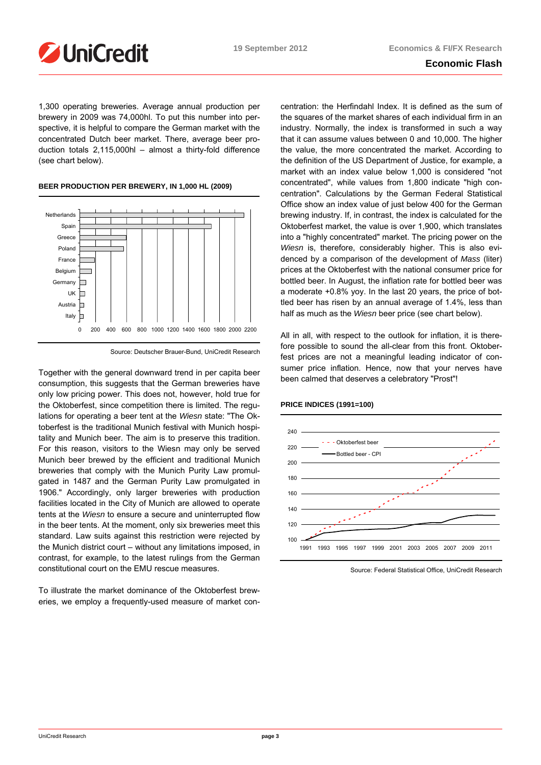

# **Economic Flash**

1,300 operating breweries. Average annual production per brewery in 2009 was 74,000hl. To put this number into perspective, it is helpful to compare the German market with the concentrated Dutch beer market. There, average beer production totals 2,115,000hl – almost a thirty-fold difference (see chart below).

# **BEER PRODUCTION PER BREWERY, IN 1,000 HL (2009)**



Source: Deutscher Brauer-Bund, UniCredit Research

Together with the general downward trend in per capita beer consumption, this suggests that the German breweries have only low pricing power. This does not, however, hold true for the Oktoberfest, since competition there is limited. The regulations for operating a beer tent at the *Wiesn* state: "The Oktoberfest is the traditional Munich festival with Munich hospitality and Munich beer. The aim is to preserve this tradition. For this reason, visitors to the Wiesn may only be served Munich beer brewed by the efficient and traditional Munich breweries that comply with the Munich Purity Law promulgated in 1487 and the German Purity Law promulgated in 1906." Accordingly, only larger breweries with production facilities located in the City of Munich are allowed to operate tents at the *Wiesn* to ensure a secure and uninterrupted flow in the beer tents. At the moment, only six breweries meet this standard. Law suits against this restriction were rejected by the Munich district court – without any limitations imposed, in contrast, for example, to the latest rulings from the German constitutional court on the EMU rescue measures.

To illustrate the market dominance of the Oktoberfest breweries, we employ a frequently-used measure of market concentration: the Herfindahl Index. It is defined as the sum of the squares of the market shares of each individual firm in an industry. Normally, the index is transformed in such a way that it can assume values between 0 and 10,000. The higher the value, the more concentrated the market. According to the definition of the US Department of Justice, for example, a market with an index value below 1,000 is considered "not concentrated", while values from 1,800 indicate "high concentration". Calculations by the German Federal Statistical Office show an index value of just below 400 for the German brewing industry. If, in contrast, the index is calculated for the Oktoberfest market, the value is over 1,900, which translates into a "highly concentrated" market. The pricing power on the *Wiesn* is, therefore, considerably higher. This is also evidenced by a comparison of the development of *Mass* (liter) prices at the Oktoberfest with the national consumer price for bottled beer. In August, the inflation rate for bottled beer was a moderate +0.8% yoy. In the last 20 years, the price of bottled beer has risen by an annual average of 1.4%, less than half as much as the *Wiesn* beer price (see chart below).

All in all, with respect to the outlook for inflation, it is therefore possible to sound the all-clear from this front. Oktoberfest prices are not a meaningful leading indicator of consumer price inflation. Hence, now that your nerves have been calmed that deserves a celebratory "Prost"!



# **PRICE INDICES (1991=100)**

Source: Federal Statistical Office, UniCredit Research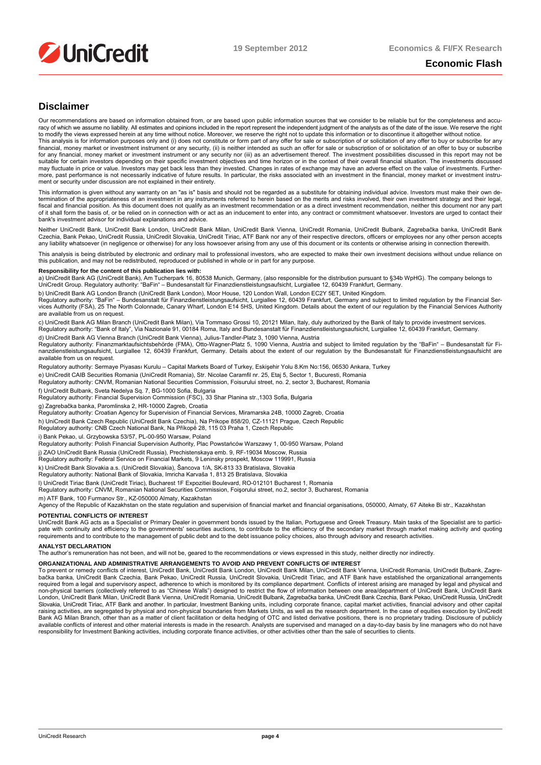

# **Economic Flash**

# **Disclaimer**

Our recommendations are based on information obtained from, or are based upon public information sources that we consider to be reliable but for the completeness and accuracy of which we assume no liability. All estimates and opinions included in the report represent the independent judgment of the analysts as of the date of the issue. We reserve the right to modify the views expressed herein at any time without notice. Moreover, we reserve the right not to update this information or to discontinue it altogether without notice.<br>This analysis is for information purposes only

financial, money market or investment instrument or any security, (ii) is neither intended as such an offer for sale or subscription of or solicitation of an offer to buy or subscribe for any financial, money market or investment instrument or any security nor (iii) as an advertisement thereof. The investment possibilities discussed in this report may not be<br>suitable for certain investors depending on t may fluctuate in price or value. Investors may get back less than they invested. Changes in rates of exchange may have an adverse effect on the value of investments. Furthermore, past performance is not necessarily indicative of future results. In particular, the risks associated with an investment in the financial, money market or investment instrument or security under discussion are not explained in their entirety.

This information is given without any warranty on an "as is" basis and should not be regarded as a substitute for obtaining individual advice. Investors must make their own de-<br>termination of the appropriateness of an inve fiscal and financial position. As this document does not qualify as an investment recommendation recommendation, neither this document nor any part<br>of it shall form the basis of, or be relied on in connection with or act a bank's investment advisor for individual explanations and advice.

Neither UniCredit Bank, UniCredit Bank London, UniCredit Bank Milan, UniCredit Bank Vienna, UniCredit Romania, UniCredit Bulbank, Zagrebačka banka, UniCredit Bank Czechia, Bank Pekao, UniCredit Russia, UniCredit Slovakia, UniCredit Tiriac, ATF Bank nor any of their respective directors, officers or employees nor any other person accepts any liability whatsoever (in negligence or otherwise) for any loss howsoever arising from any use of this document or its contents or otherwise arising in connection therewith.

This analysis is being distributed by electronic and ordinary mail to professional investors, who are expected to make their own investment decisions without undue reliance on<br>this publication, and may not be redistributed

#### **Responsibility for the content of this publication lies with:**

a) UniCredit Bank AG (UniCredit Bank), Am Tucherpark 16, 80538 Munich, Germany, (also responsible for the distribution pursuant to §34b WpHG). The company belongs to<br>UniCredit Group. Regulatory authority: "BaFin" – Bundes

b) UniCredit Bank AG London Branch (UniCredit Bank London), Moor House, 120 London Wall, London EC2Y 5ET, United Kingdom.

Regulatory authority: "BaFin" – Bundesanstalt für Finanzdienstleistungsaufsicht, Lurgiallee 12, 60439 Frankfurt, Germany and subject to limited regulation by the Financial Ser-<br>vices Authority (FSA), 25 The North Colonnade

c) UniCredit Bank AG Milan Branch (UniCredit Bank Milan), Via Tommaso Grossi 10, 20121 Milan, Italy, duly authorized by the Bank of Italy to provide investment services.<br>Regulatory authority: "Bank of Italy", Via Nazionale

d) UniCredit Bank AG Vienna Branch (UniCredit Bank Vienna), Julius-Tandler-Platz 3, 1090 Vienna, Austria

Regulatory authority: Finanzmarktaufsichtsbehörde (FMA), Otto-Wagner-Platz 5, 1090 Vienna, Austria and subject to limited regulation by the "BaFin" – Bundesanstalt für Finanzdienstleistungsaufsicht, Lurgiallee 12, 60439 Frankfurt, Germany. Details about the extent of our regulation by the Bundesanstalt für Finanzdienstleistungsaufsicht are available from us on request.

Regulatory authority: Sermaye Piyasası Kurulu – Capital Markets Board of Turkey, Eskişehir Yolu 8.Km No:156, 06530 Ankara, Turkey

e) UniCredit CAIB Securities Romania (UniCredit Romania), Str. Nicolae Caramfil nr. 25, Etaj 5, Sector 1, Bucuresti, Romania

Regulatory authority: CNVM, Romanian National Securities Commission, Foisurului street, no. 2, sector 3, Bucharest, Romania

f) UniCredit Bulbank, Sveta Nedelya Sq. 7, BG-1000 Sofia, Bulgaria Regulatory authority: Financial Supervision Commission (FSC), 33 Shar Planina str.,1303 Sofia, Bulgaria

g) Zagrebačka banka, Paromlinska 2, HR-10000 Zagreb, Croatia Regulatory authority: Croatian Agency for Supervision of Financial Services, Miramarska 24B, 10000 Zagreb, Croatia

h) UniCredit Bank Czech Republic (UniCredit Bank Czechia), Na Príkope 858/20, CZ-11121 Prague, Czech Republic Regulatory authority: CNB Czech National Bank, Na Příkopě 28, 115 03 Praha 1, Czech Republic

i) Bank Pekao, ul. Grzybowska 53/57, PL-00-950 Warsaw, Poland

Regulatory authority: Polish Financial Supervision Authority, Plac Powstańców Warszawy 1, 00-950 Warsaw, Poland

j) ZAO UniCredit Bank Russia (UniCredit Russia), Prechistenskaya emb. 9, RF-19034 Moscow, Russia

Regulatory authority: Federal Service on Financial Markets, 9 Leninsky prospekt, Moscow 119991, Russia

k) UniCredit Bank Slovakia a.s. (UniCredit Slovakia), Šancova 1/A, SK-813 33 Bratislava, Slovakia Regulatory authority: National Bank of Slovakia, Imricha Karvaša 1, 813 25 Bratislava, Slovakia

l) UniCredit Tiriac Bank (UniCredit Tiriac), Bucharest 1F Expozitiei Boulevard, RO-012101 Bucharest 1, Romania<br>Regulatory authority: CNVM, Romanian National Securities Commission, Foişorului street, no.2, sector 3, Buchare

m) ATF Bank, 100 Furmanov Str., KZ-050000 Almaty, Kazakhstan<br>Agency of the Republic of Kazakhstan on the state regulation and supervision of financial market and financial organisations, 050000, Almaty, 67 Aiteke Bi str.,

### **POTENTIAL CONFLICTS OF INTEREST**

UniCredit Bank AG acts as a Specialist or Primary Dealer in government bonds issued by the Italian, Portuguese and Greek Treasury. Main tasks of the Specialist are to participate with continuity and efficiency to the governments' securities auctions, to contribute to the efficiency of the secondary market through market making activity and quoting<br>requirements and to contribute to the manageme

### **ANALYST DECLARATION**

The author's remuneration has not been, and will not be, geared to the recommendations or views expressed in this study, neither directly nor indirectly.

### **ORGANIZATIONAL AND ADMINISTRATIVE ARRANGEMENTS TO AVOID AND PREVENT CONFLICTS OF INTEREST**

To prevent or remedy conflicts of interest, UniCredit Bank, UniCredit Bank London, UniCredit Bank Milan, UniCredit Bank Vienna, UniCredit Romania, UniCredit Bulbank, Zagrebačka banka, UniCredit Bank Czechia, Bank Pekao, UniCredit Russia, UniCredit Slovakia, UniCredit Tiriac, and ATF Bank have established the organizational arrangements<br>required from a legal and supervisory aspect, adherence non-physical barriers (collectively referred to as "Chinese Walls") designed to restrict the flow of information between one area/department of UniCredit Bank, UniCredit Bank<br>London, UniCredit Bank Milan, UniCredit Bank Vi Slovakia, UniCredit Tiriac, ATF Bank and another. In particular, Investment Banking units, including corporate finance, capital market activities, financial advisory and other capital raising activities, are segregated by physical and non-physical boundaries from Markets Units, as well as the research department. In the case of equities execution by UniCredit<br>Bank AG Milan Branch, other than as a matter available conflicts of interest and other material interests is made in the research. Analysts are supervised and managed on a day-to-day basis by line managers who do not have responsibility for Investment Banking activities, including corporate finance activities, or other activities other than the sale of securities to clients.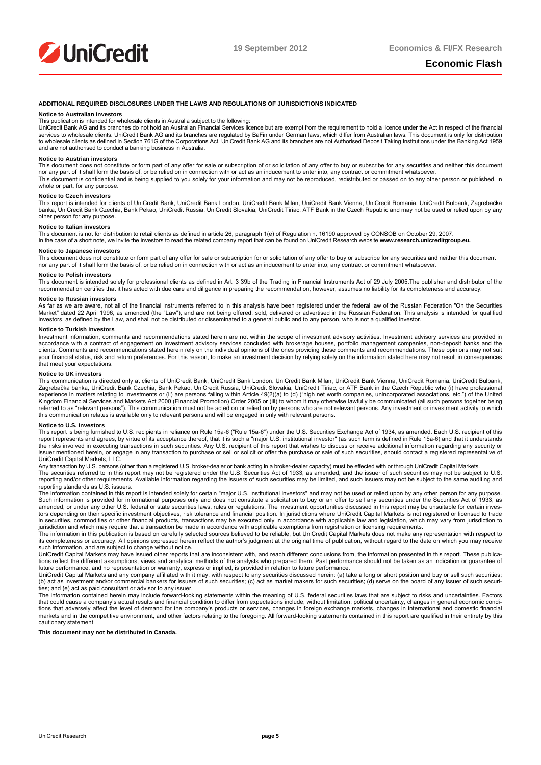

#### **ADDITIONAL REQUIRED DISCLOSURES UNDER THE LAWS AND REGULATIONS OF JURISDICTIONS INDICATED**

#### **Notice to Australian investors**

This publication is intended for wholesale clients in Australia subject to the following:<br>UniCredit Bank AG and its branches do not hold an Australian Financial Services licence but are exempt from the requirement to hold services to wholesale clients. UniCredit Bank AG and its branches are regulated by BaFin under German laws, which differ from Australian laws. This document is only for distribution to wholesale clients as defined in Section 761G of the Corporations Act. UniCredit Bank AG and its branches are not Authorised Deposit Taking Institutions under the Banking Act 1959 and are not authorised to conduct a banking business in Australia.

#### **Notice to Austrian investors**

This document does not constitute or form part of any offer for sale or subscription of or solicitation of any offer to buy or subscribe for any securities and neither this document nor any part of it shall form the basis of, or be relied on in connection with or act as an inducement to enter into, any contract or commitment whatsoever.<br>This document is confidential and is being supplied to you solely whole or part, for any purpose.

#### **Notice to Czech investors**

This report is intended for clients of UniCredit Bank, UniCredit Bank London, UniCredit Bank Dincredit Bank Vienna, UniCredit Romania, UniCredit Bulbank, Zagrebačka<br>banka, UniCredit Bank Czechia, Bank Pekao, UniCredit Russ other person for any purpose.

#### **Notice to Italian investors**

This document is not for distribution to retail clients as defined in article 26, paragraph 1(e) of Regulation n. 16190 approved by CONSOB on October 29, 2007.<br>In the case of a short note, we invite the investors to read t

#### **Notice to Japanese investors**

This document does not constitute or form part of any offer for sale or subscription for or solicitation of any offer to buy or subscribe for any securities and neither this document nor any part of it shall form the basis of, or be relied on in connection with or act as an inducement to enter into, any contract or commitment whatsoever.

#### **Notice to Polish investors**

This document is intended solely for professional clients as defined in Art. 3 39b of the Trading in Financial Instruments Act of 29 July 2005.The publisher and distributor of the recommendation certifies that it has acted with due care and diligence in preparing the recommendation, however, assumes no liability for its completeness and accuracy.

### **Notice to Russian investors**

As far as we are aware, not all of the financial instruments referred to in this analysis have been registered under the federal law of the Russian Federation "On the Securities Market" dated 22 April 1996, as amended (the "Law"), and are not being offered, sold, delivered or advertised in the Russian Federation. This analysis is intended for qualified<br>investors, as defined by the Law, and shall n

#### **Notice to Turkish investors**

Investment information, comments and recommendations stated herein are not within the scope of investment advisory activities. Investment advisory services are provided in accordance with a contract of engagement on investment advisory services concluded with brokerage houses, portfolio management companies, non-deposit banks and the<br>clients. Comments and recommendations stated herein rely o your financial status, risk and return preferences. For this reason, to make an investment decision by relying solely on the information stated here may not result in consequences that meet your expectations.

#### **Notice to UK investors**

This communication is directed only at clients of UniCredit Bank, UniCredit Bank London, UniCredit Bank Milan, UniCredit Bank Vienna, UniCredit Romania, UniCredit Bulbank, Zagrebačka banka, UniCredit Bank Czechia, Bank Pekao, UniCredit Russia, UniCredit Slovakia, UniCredit Tiriac, or ATF Bank in the Czech Republic who (i) have professional experience in matters relating to investments or (ii) are persons falling within Article 49(2)(a) to (d) ("high net worth companies, unincorporated associations, etc.") of the United<br>Kingdom Financial Services and Markets referred to as "relevant persons"). This communication must not be acted on or relied on by persons who are not relevant persons. Any investment or investment activity to which this communication relates is available only to relevant persons and will be engaged in only with relevant persons.

### **Notice to U.S. investors**

This report is being furnished to U.S. recipients in reliance on Rule 15a-6 ("Rule 15a-6") under the U.S. Securities Exchange Act of 1934, as amended. Each U.S. recipient of this<br>report represents and agrees, by virtue of issuer mentioned herein, or engage in any transaction to purchase or sell or solicit or offer the purchase or sale of such securities, should contact a registered representative of UniCredit Capital Markets, LLC.

Any transaction by U.S. persons (other than a registered U.S. broker-dealer or bank acting in a broker-dealer capacity) must be effected with or through UniCredit Capital Markets.<br>The securities referred to in this report

reporting and/or other requirements. Available information regarding the issuers of such securities may be limited, and such issuers may not be subject to the same auditing and reporting standards as U.S. issuers.

The information contained in this report is intended solely for certain "major U.S. institutional investors" and may not be used or relied upon by any other person for any purpose.<br>Such information is provided for informat amended, or under any other U.S. federal or state securities laws, rules or regulations. The investment opportunities discussed in this report may be unsuitable for certain inves-<br>tors depending on their specific investmen in securities, commodities or other financial products, transactions may be executed only in accordance with applicable law and legislation, which may vary from jurisdiction to

jurisdiction and which may require that a transaction be made in accordance with applicable exemptions from registration or licensing requirements.<br>The information in this publication is based on carefully selected sources its completeness or accuracy. All opinions expressed herein reflect the author's judgment at the original time of publication, without regard to the date on which you may receive such information, and are subject to change without notice.<br>UniCredit Capital Markets may have issued other reports that are inconsistent with, and reach different conclusions from, the information presented in this report

tions reflect the different assumptions, views and analytical methods of the analysts who prepared them. Past performance should not be taken as an indication or guarantee of

future performance, and no representation or warranty, express or implied, is provided in relation to future performance.<br>UniCredit Capital Markets and any company affiliated with it may, with respect to any securities dis ties; and (e) act as paid consultant or advisor to any issuer.

The information contained herein may include forward-looking statements within the meaning of U.S. federal securities laws that are subject to risks and uncertainties. Factors<br>that could cause a company's actual results an tions that adversely affect the level of demand for the company's products or services, changes in foreign exchange markets, changes in international and domestic financial markets and in the competitive environment, and other factors relating to the foregoing. All forward-looking statements contained in this report are qualified in their entirety by this cautionary statement

#### **This document may not be distributed in Canada.**